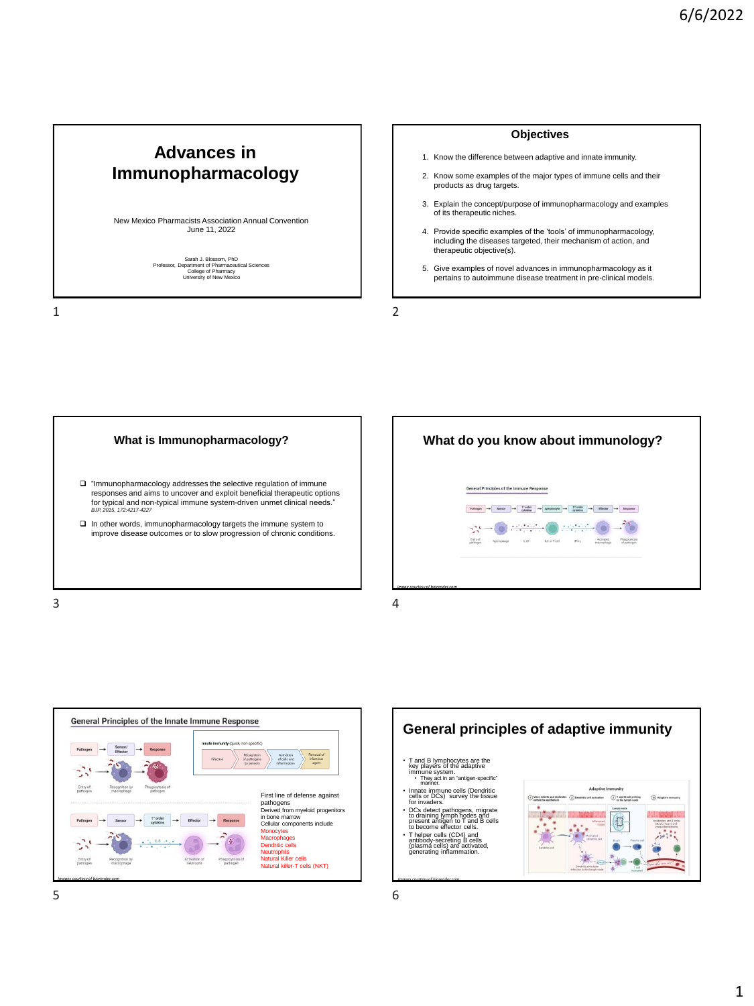# **Advances in Immunopharmacology**

New Mexico Pharmacists Association Annual Convention June 11, 2022

Sarah J. Blossom, PhD<br>Professor, Department of Pharmaceutical Sciences<br>College of Pharmacy<br>University of New Mexico

1 2

### **Objectives**

- 1. Know the difference between adaptive and innate immunity.
- 2. Know some examples of the major types of immune cells and their products as drug targets.
- 3. Explain the concept/purpose of immunopharmacology and examples of its therapeutic niches.
- 4. Provide specific examples of the 'tools' of immunopharmacology, including the diseases targeted, their mechanism of action, and therapeutic objective(s).
- 5. Give examples of novel advances in immunopharmacology as it pertains to autoimmune disease treatment in pre-clinical models.







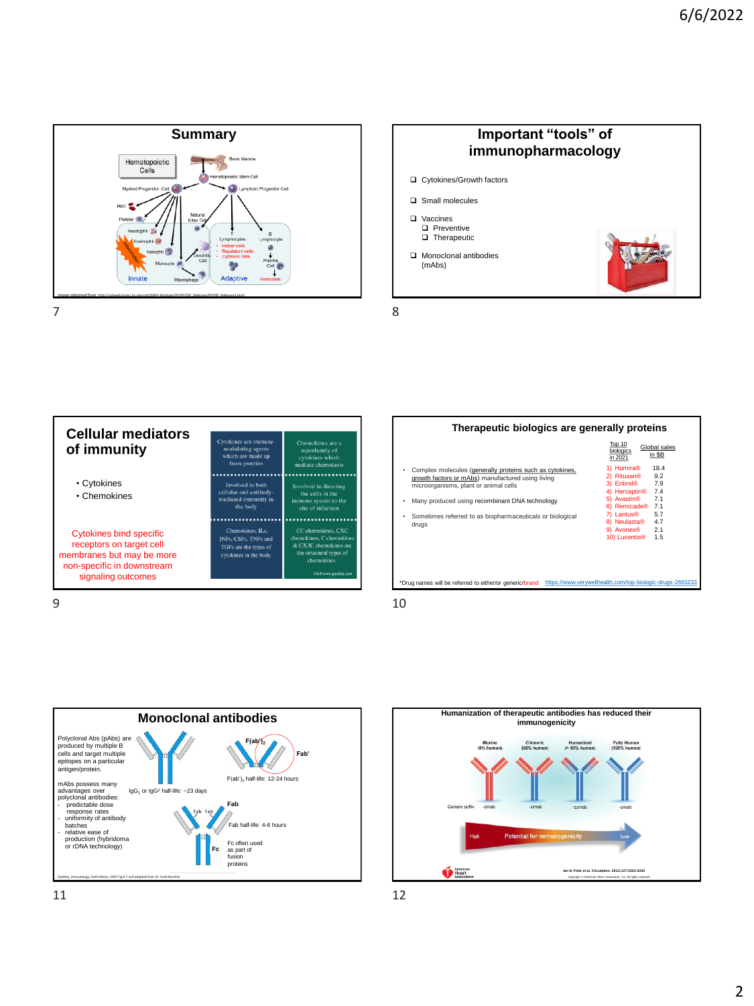





|                                                  | Top 10<br>Global sales<br>biologics<br>in \$B<br>in 2021 |
|--------------------------------------------------|----------------------------------------------------------|
| molecules (generally proteins such as cytokines, | 1) Humira®<br>18.4                                       |
| actors or mAbs) manufactured using living        | 2) Rituxan <sup>®</sup><br>9.2                           |
|                                                  | $\cdots$ $\cdots$<br>- -                                 |

**Therapeutic biologics are generally proteins**

• Complex molecules (generally proteins such as cytokines, growth factors or mAbs) manufactured using living microorganisms, plant or animal cells

|  | microorganisms, plant or animal cells                     | 3) Enbrel®                | 7.9 |
|--|-----------------------------------------------------------|---------------------------|-----|
|  |                                                           | 4) Herceptin <sup>®</sup> | 7.4 |
|  | Many produced using recombinant DNA technology            | 5) Avastin <sup>®</sup>   | 7.1 |
|  |                                                           | 6) Remicade®              | 7.1 |
|  | Sometimes referred to as biopharmaceuticals or biological | 7) Lantus <sup>®</sup>    | 5.7 |
|  | druas                                                     | 8) Neulasta®              | 4.7 |
|  |                                                           | 9) Avonex®                | 2.1 |
|  |                                                           | 10) Lucentis <sup>®</sup> | 1.5 |

\*Drug names will be referred to either/or generic/brand <https://www.verywellhealth.com/top-biologic-drugs-2663233>





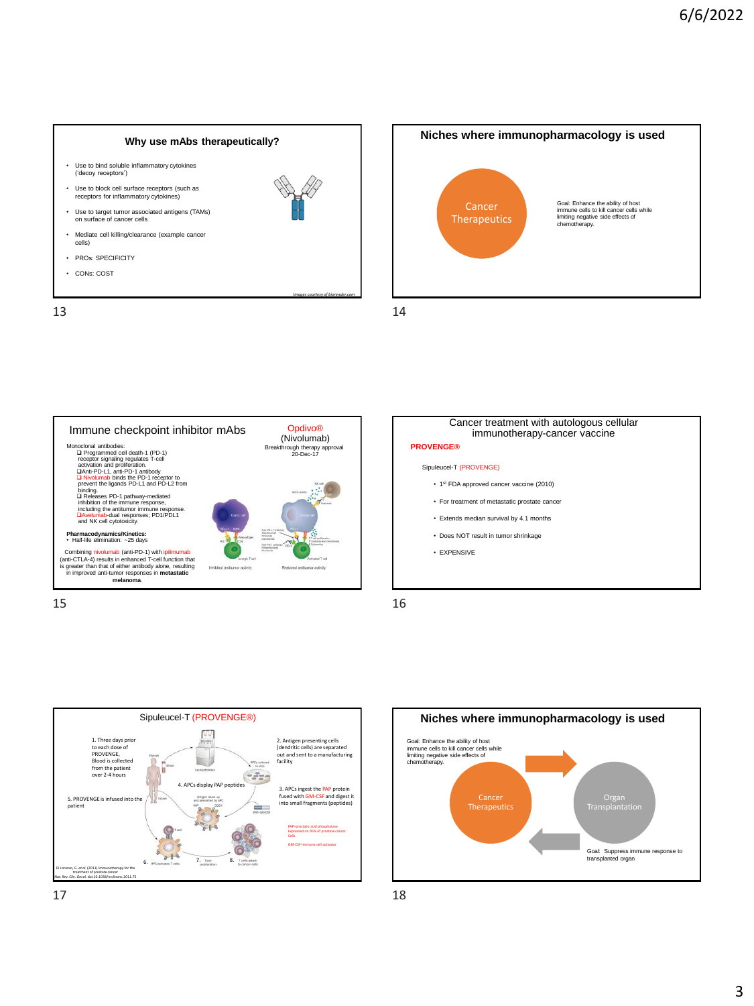### **Why use mAbs therapeutically?**

- Use to bind soluble inflammatory cytokines ('decoy receptors')
- Use to block cell surface receptors (such as receptors for inflammatory cytokines)
- Use to target tumor associated antigens (TAMs) on surface of cancer cells
- Mediate cell killing/clearance (example cancer cells)
- PROs: SPECIFICITY
- CONs: COST



*Images courtesy of biorender.com*













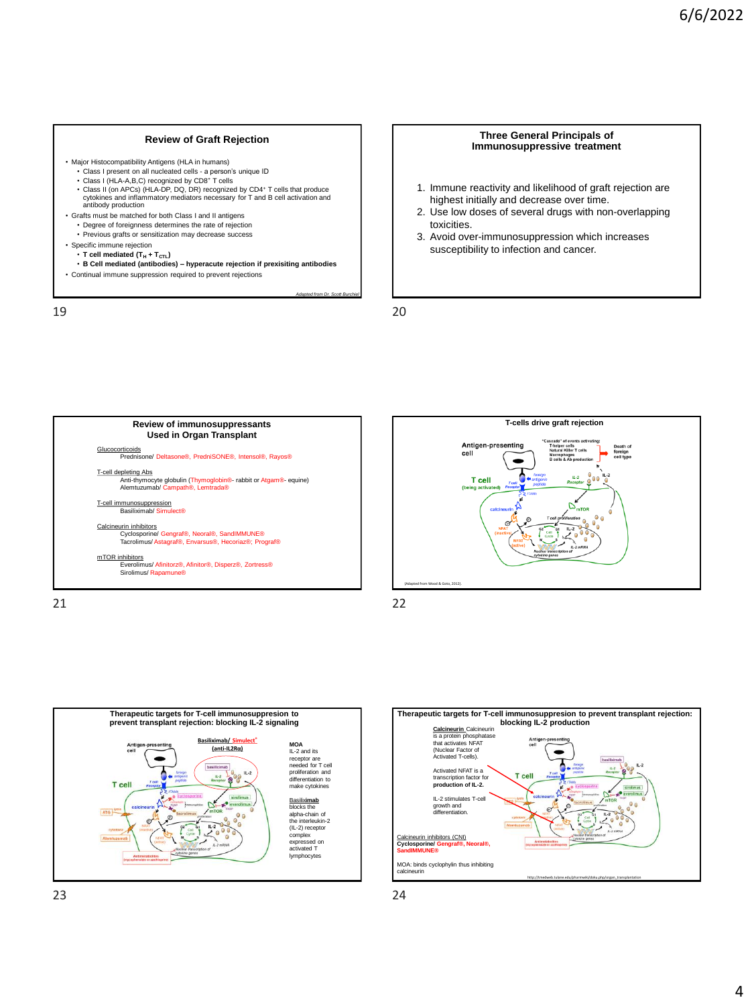#### **Review of Graft Rejection**

- Major Histocompatibility Antigens (HLA in humans)
	- Class I present on all nucleated cells a person's unique ID
	- Class I (HLA-A,B,C) recognized by CD8<sup>+</sup> T cells
	- Class II (on APCs) (HLA-DP, DQ, DR) recognized by CD4<sup>+</sup> T cells that produce cytokines and inflammatory mediators necessary for T and B cell activation and antibody production
- Grafts must be matched for both Class I and II antigens • Degree of foreignness determines the rate of rejection
	- Previous grafts or sensitization may decrease success
- Specific immune rejection
	- $\cdot$  **T** cell mediated  $(T_H + T_{\text{CTL}})$
	- **B Cell mediated (antibodies) – hyperacute rejection if prexisiting antibodies**
- Continual immune suppression required to prevent rejections

19 20

#### **Three General Principals of Immunosuppressive treatment**

- 1. Immune reactivity and likelihood of graft rejection are highest initially and decrease over time.
- 2. Use low doses of several drugs with non-overlapping toxicities.

Death of<br>foreign<br>cell type

3. Avoid over-immunosuppression which increases susceptibility to infection and cancer.



*Adapted from Dr. Scott B* 





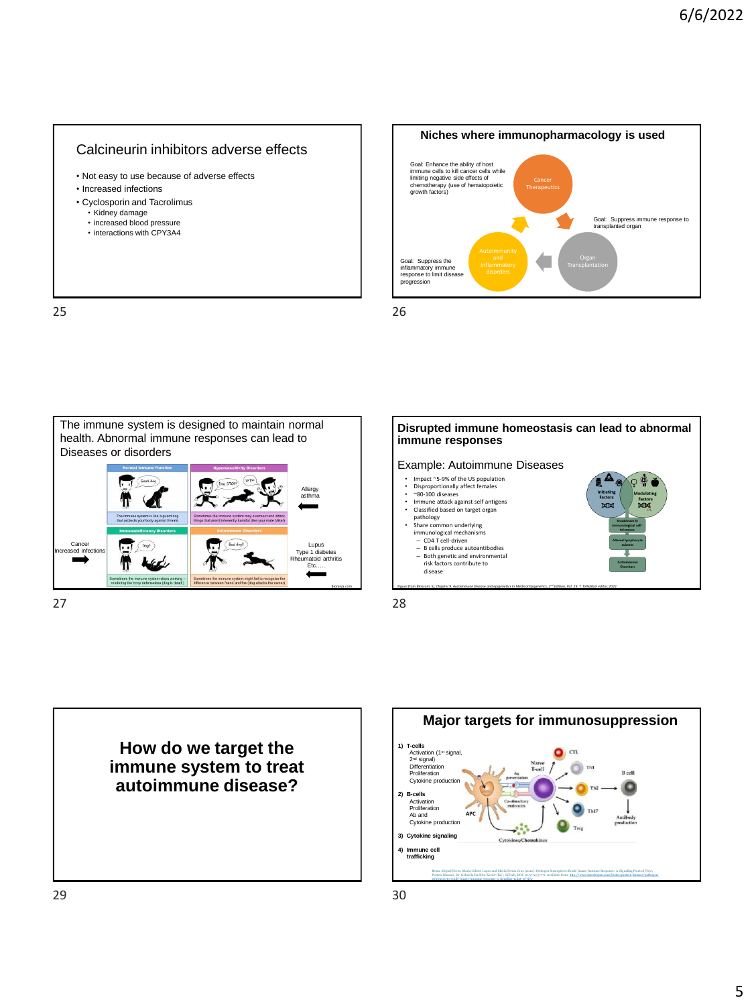## Calcineurin inhibitors adverse effects

- Not easy to use because of adverse effects
- Increased infections
- Cyclosporin and Tacrolimus
	-
	- Kidney damage increased blood pressure
	- interactions with CPY3A4

25 26





27 28





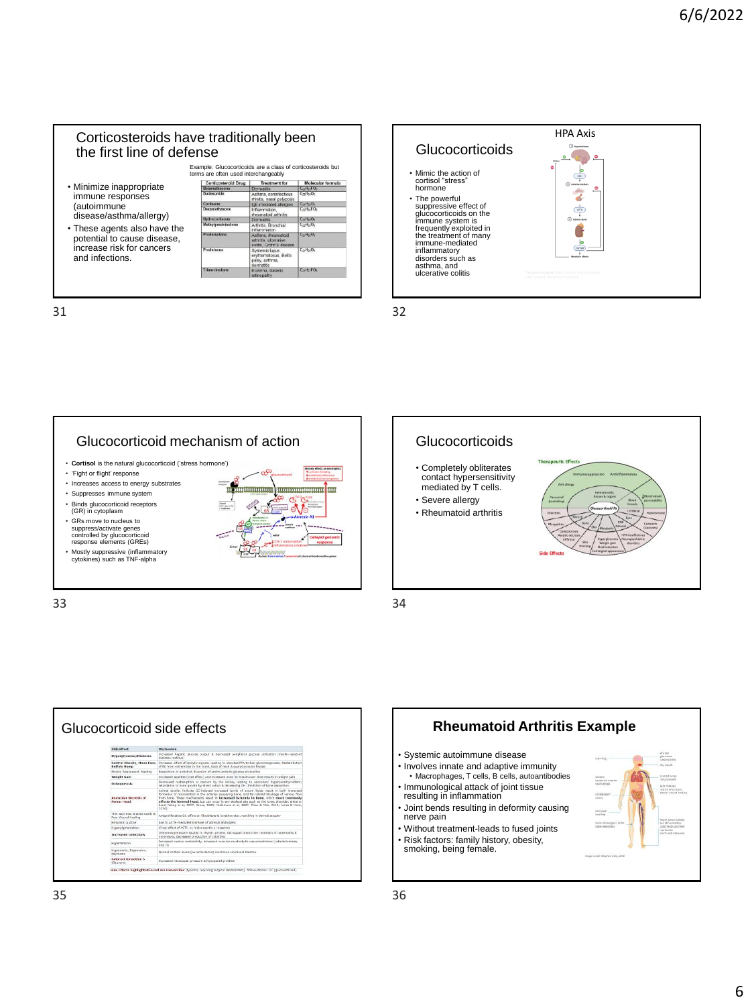## Corticosteroids have traditionally been the first line of defense



31 32







33 34



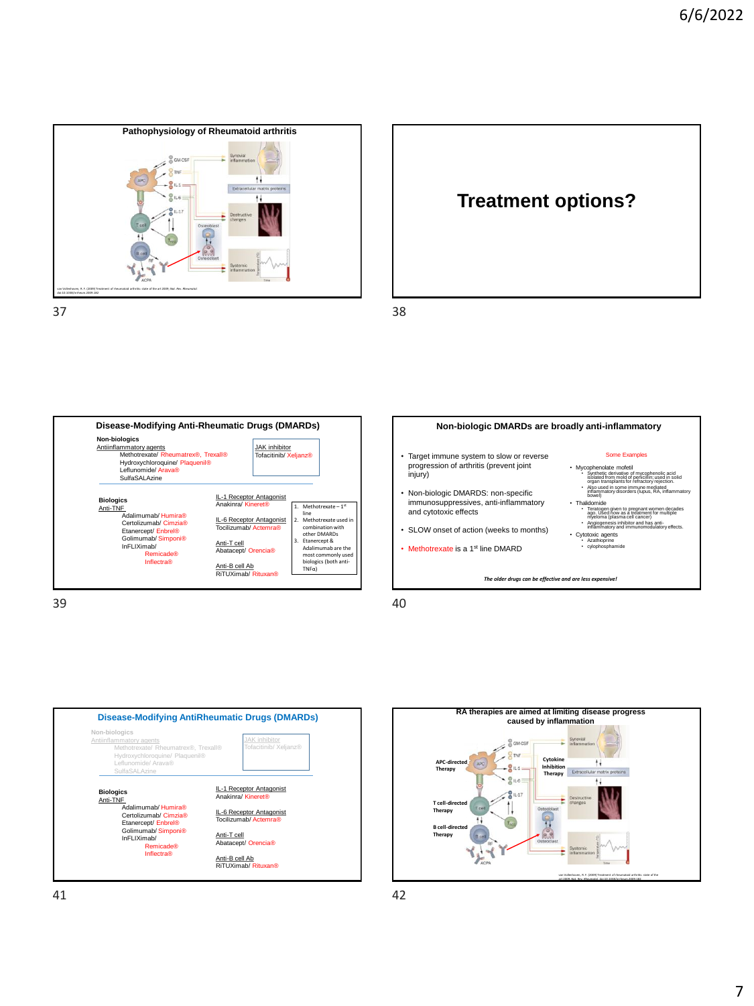





**Non-biologic DMARDs are broadly anti-inflammatory**

*The older drugs can be effective and are less expensive!*

• Target immune system to slow or reverse progression of arthritis (prevent joint

• Non-biologic DMARDS: non-specific immunosuppressives, anti-inflammatory

• SLOW onset of action (weeks to months) • Methotrexate is a 1<sup>st</sup> line DMARD

and cytotoxic effects

#### Some Examples

- Mycophenolate mofetil • Synthetic derivative of mycophenolic acid isolated from mold of penicillin; used in solid organ transplants for refractory rejection. • Also used in some immune mediated inflammatory disorders (lupus, RA, inflammatory bowel)
- Thalidomide
- Teratogen given to pregnant women decades ago. Used now as a treatment for multiple myeloma (plasma cell cancer) Angiogenesis inhibitor and has anti-inflammatory and immunomodulatory effects.
- Cytotoxic agents Azathioprine cylophosphamide

39 40

injury)